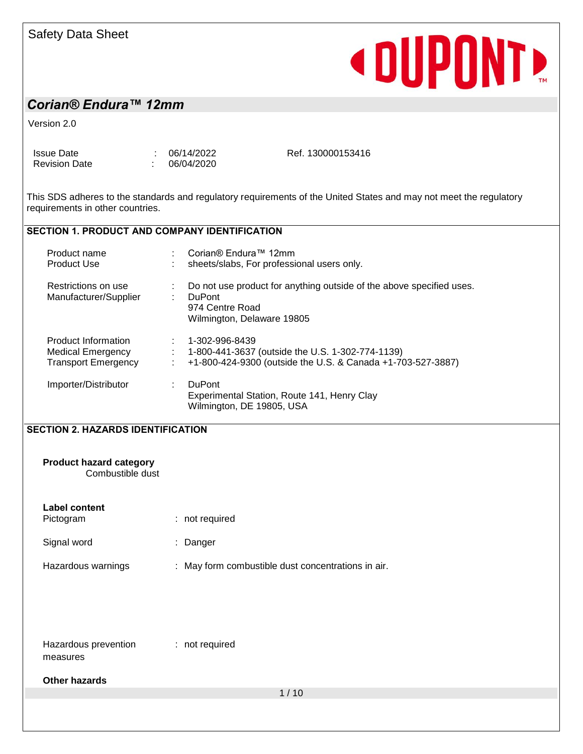# **«DUPONTE**

# *Corian® Endura™ 12mm*

Version 2.0

Issue Date : 06/14/2022 Revision Date : 06/04/2020 Ref. 130000153416

This SDS adheres to the standards and regulatory requirements of the United States and may not meet the regulatory requirements in other countries.

#### **SECTION 1. PRODUCT AND COMPANY IDENTIFICATION**

| Product name<br><b>Product Use</b>                                     | Corian® Endura™ 12mm<br>sheets/slabs, For professional users only.                        |                                                                                                                 |
|------------------------------------------------------------------------|-------------------------------------------------------------------------------------------|-----------------------------------------------------------------------------------------------------------------|
| Restrictions on use<br>Manufacturer/Supplier                           | <b>DuPont</b><br>974 Centre Road<br>Wilmington, Delaware 19805                            | Do not use product for anything outside of the above specified uses.                                            |
| Product Information<br>Medical Emergency<br><b>Transport Emergency</b> | 1-302-996-8439                                                                            | 1-800-441-3637 (outside the U.S. 1-302-774-1139)<br>+1-800-424-9300 (outside the U.S. & Canada +1-703-527-3887) |
| Importer/Distributor                                                   | <b>DuPont</b><br>Experimental Station, Route 141, Henry Clay<br>Wilmington, DE 19805, USA |                                                                                                                 |

#### **SECTION 2. HAZARDS IDENTIFICATION**

| SECTION 2. HAZARDS IDENTIFICATION                  |                                                    |
|----------------------------------------------------|----------------------------------------------------|
| <b>Product hazard category</b><br>Combustible dust |                                                    |
| <b>Label content</b><br>Pictogram                  | : not required                                     |
| Signal word                                        | : Danger                                           |
| Hazardous warnings                                 | : May form combustible dust concentrations in air. |
|                                                    |                                                    |
|                                                    |                                                    |
| Hazardous prevention<br>measures                   | : not required                                     |
| <b>Other hazards</b>                               |                                                    |
|                                                    | 1/10                                               |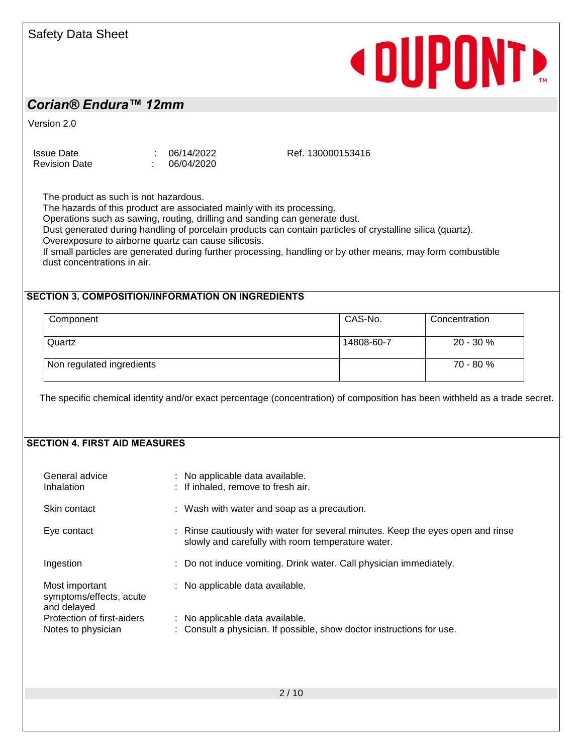### *Corian® Endura™ 12mm*

Version 2.0

Issue Date : 06/14/2022 Revision Date : 06/04/2020

Ref. 130000153416

**«DUPONT»** 

The product as such is not hazardous.

The hazards of this product are associated mainly with its processing.

Operations such as sawing, routing, drilling and sanding can generate dust.

Dust generated during handling of porcelain products can contain particles of crystalline silica (quartz).

Overexposure to airborne quartz can cause silicosis.

If small particles are generated during further processing, handling or by other means, may form combustible dust concentrations in air.

#### **SECTION 3. COMPOSITION/INFORMATION ON INGREDIENTS**

| Component                 | CAS-No.    | Concentration |
|---------------------------|------------|---------------|
| Quartz                    | 14808-60-7 | $20 - 30 \%$  |
| Non regulated ingredients |            | $70 - 80 \%$  |

The specific chemical identity and/or exact percentage (concentration) of composition has been withheld as a trade secret.

#### **SECTION 4. FIRST AID MEASURES**

| General advice<br>Inhalation                             | : No applicable data available.<br>: If inhaled, remove to fresh air.                                                                |
|----------------------------------------------------------|--------------------------------------------------------------------------------------------------------------------------------------|
| Skin contact                                             | : Wash with water and soap as a precaution.                                                                                          |
| Eye contact                                              | : Rinse cautiously with water for several minutes. Keep the eyes open and rinse<br>slowly and carefully with room temperature water. |
| Ingestion                                                | : Do not induce vomiting. Drink water. Call physician immediately.                                                                   |
| Most important<br>symptoms/effects, acute<br>and delayed | : No applicable data available.                                                                                                      |
| Protection of first-aiders<br>Notes to physician         | : No applicable data available.<br>: Consult a physician. If possible, show doctor instructions for use.                             |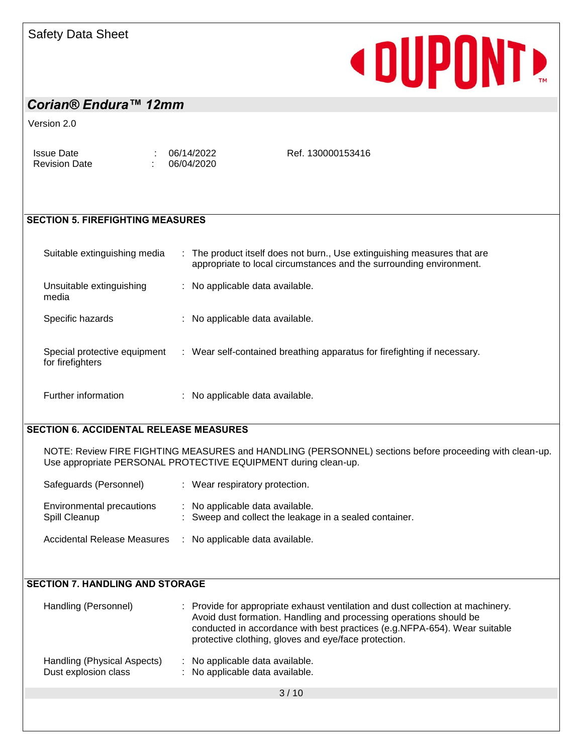# **« DUPONTE**

#### *Corian® Endura™ 12mm*

Version 2.0

Issue Date : 06/14/2022 Revision Date : 06/04/2020

Ref. 130000153416

#### **SECTION 5. FIREFIGHTING MEASURES**

| Suitable extinguishing media                     | : The product itself does not burn., Use extinguishing measures that are<br>appropriate to local circumstances and the surrounding environment. |
|--------------------------------------------------|-------------------------------------------------------------------------------------------------------------------------------------------------|
| Unsuitable extinguishing<br>media                | : No applicable data available.                                                                                                                 |
| Specific hazards                                 | : No applicable data available.                                                                                                                 |
| Special protective equipment<br>for firefighters | : Wear self-contained breathing apparatus for firefighting if necessary.                                                                        |

Further information : No applicable data available.

#### **SECTION 6. ACCIDENTAL RELEASE MEASURES**

NOTE: Review FIRE FIGHTING MEASURES and HANDLING (PERSONNEL) sections before proceeding with clean-up. Use appropriate PERSONAL PROTECTIVE EQUIPMENT during clean-up.

| Safeguards (Personnel)                     | : Wear respiratory protection.                                                            |
|--------------------------------------------|-------------------------------------------------------------------------------------------|
| Environmental precautions<br>Spill Cleanup | : No applicable data available.<br>: Sweep and collect the leakage in a sealed container. |
| <b>Accidental Release Measures</b>         | : No applicable data available.                                                           |

#### **SECTION 7. HANDLING AND STORAGE**

| Handling (Personnel)                                | : Provide for appropriate exhaust ventilation and dust collection at machinery.<br>Avoid dust formation. Handling and processing operations should be<br>conducted in accordance with best practices (e.g.NFPA-654). Wear suitable<br>protective clothing, gloves and eye/face protection. |  |
|-----------------------------------------------------|--------------------------------------------------------------------------------------------------------------------------------------------------------------------------------------------------------------------------------------------------------------------------------------------|--|
| Handling (Physical Aspects)<br>Dust explosion class | : No applicable data available.<br>: No applicable data available.                                                                                                                                                                                                                         |  |

 $3/10$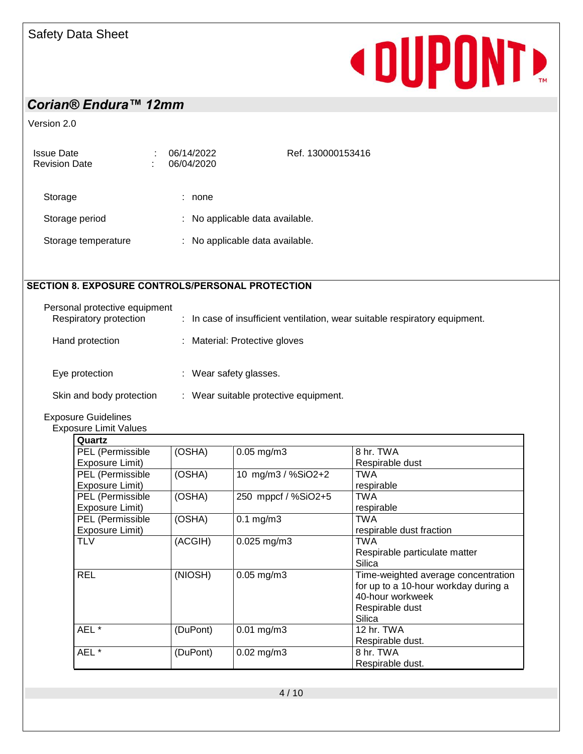# **«DUPONT**

# *Corian® Endura™ 12mm*

Version 2.0

| <b>Issue Date</b><br><b>Revision Date</b> | 06/14/2022<br>06/04/2020 | Ref. 130000153416               |
|-------------------------------------------|--------------------------|---------------------------------|
| Storage                                   | none                     |                                 |
| Storage period                            |                          | : No applicable data available. |
| Storage temperature                       |                          | : No applicable data available. |

#### **SECTION 8. EXPOSURE CONTROLS/PERSONAL PROTECTION**

| Personal protective equipment<br>Respiratory protection | : In case of insufficient ventilation, wear suitable respiratory equipment. |
|---------------------------------------------------------|-----------------------------------------------------------------------------|
| Hand protection                                         | : Material: Protective gloves                                               |
| Eye protection                                          | Wear safety glasses.                                                        |
| Skin and body protection                                | Wear suitable protective equipment.                                         |

Exposure Guidelines

Exposure Limit Values

| Quartz           |          |                     |                                      |
|------------------|----------|---------------------|--------------------------------------|
| PEL (Permissible | (OSHA)   | $0.05$ mg/m $3$     | 8 hr. TWA                            |
| Exposure Limit)  |          |                     | Respirable dust                      |
| PEL (Permissible | (OSHA)   | 10 mg/m3 / %SiO2+2  | <b>TWA</b>                           |
| Exposure Limit)  |          |                     | respirable                           |
| PEL (Permissible | (OSHA)   | 250 mppcf / %SiO2+5 | <b>TWA</b>                           |
| Exposure Limit)  |          |                     | respirable                           |
| PEL (Permissible | (OSHA)   | $0.1$ mg/m $3$      | <b>TWA</b>                           |
| Exposure Limit)  |          |                     | respirable dust fraction             |
| <b>TLV</b>       | (ACGIH)  | $0.025$ mg/m3       | <b>TWA</b>                           |
|                  |          |                     | Respirable particulate matter        |
|                  |          |                     | Silica                               |
| <b>REL</b>       | (NIOSH)  | $0.05$ mg/m $3$     | Time-weighted average concentration  |
|                  |          |                     | for up to a 10-hour workday during a |
|                  |          |                     | 40-hour workweek                     |
|                  |          |                     | Respirable dust                      |
|                  |          |                     | Silica                               |
| AEL*             | (DuPont) | $0.01$ mg/m3        | 12 hr. TWA                           |
|                  |          |                     | Respirable dust.                     |
| AEL*             | (DuPont) | $0.02$ mg/m $3$     | 8 hr. TWA                            |
|                  |          |                     | Respirable dust.                     |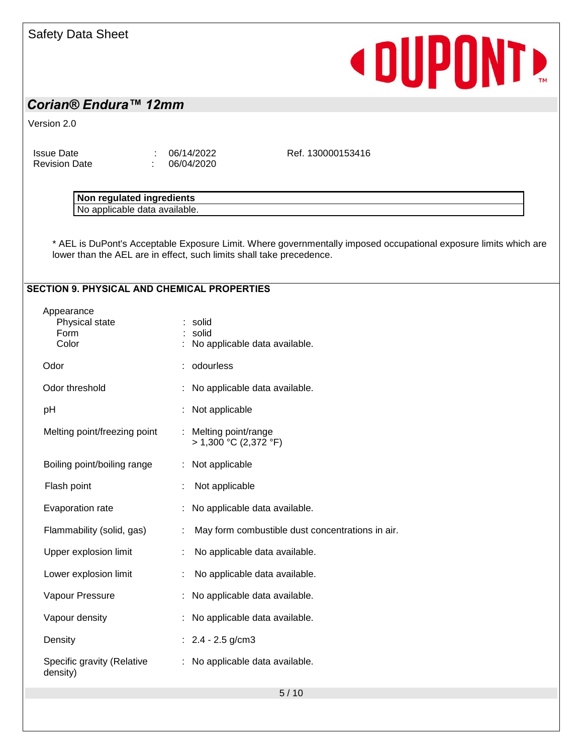# **«DUPONTE**

### *Corian® Endura™ 12mm*

Version 2.0

Issue Date : 06/14/2022 Revision Date : 06/04/2020

Ref. 130000153416

| . .<br>nedulunear<br>edients<br><b>INNIA</b><br>$\sim$<br>   |  |
|--------------------------------------------------------------|--|
| 30.010<br>----<br>avallable.<br>.nie<br>udla<br>טאו ו<br>⊣∪⊔ |  |

\* AEL is DuPont's Acceptable Exposure Limit. Where governmentally imposed occupational exposure limits which are lower than the AEL are in effect, such limits shall take precedence.

#### **SECTION 9. PHYSICAL AND CHEMICAL PROPERTIES**

| Appearance<br>Physical state<br>Form<br>Color |   | solid<br>solid<br>No applicable data available.  |
|-----------------------------------------------|---|--------------------------------------------------|
| Odor                                          |   | odourless                                        |
| Odor threshold                                |   | No applicable data available.                    |
| рH                                            |   | Not applicable                                   |
| Melting point/freezing point                  | ÷ | Melting point/range<br>$> 1,300$ °C (2,372 °F)   |
| Boiling point/boiling range                   |   | Not applicable                                   |
| Flash point                                   |   | Not applicable                                   |
| Evaporation rate                              |   | No applicable data available.                    |
| Flammability (solid, gas)                     | ÷ | May form combustible dust concentrations in air. |
| Upper explosion limit                         |   | No applicable data available.                    |
| Lower explosion limit                         |   | No applicable data available.                    |
| Vapour Pressure                               | ÷ | No applicable data available.                    |
| Vapour density                                |   | No applicable data available.                    |
| Density                                       |   | : $2.4 - 2.5$ g/cm3                              |
| Specific gravity (Relative<br>density)        | ÷ | No applicable data available.                    |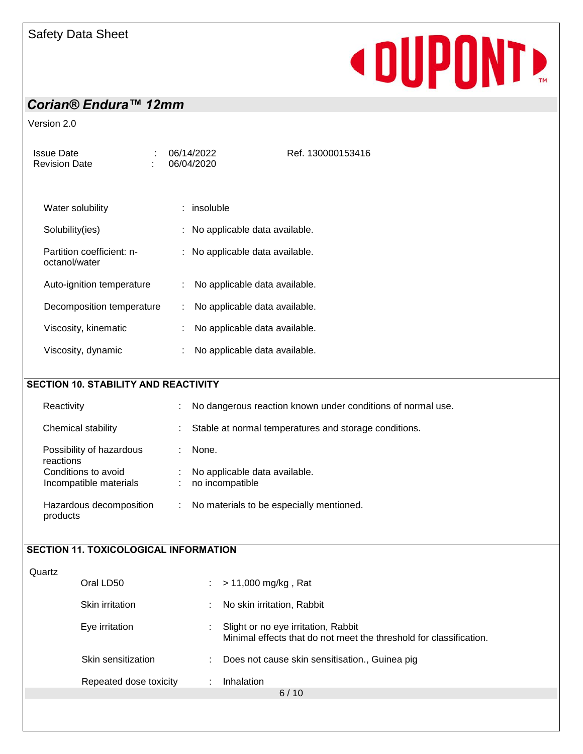# **«DUPONTE**

# *Corian® Endura™ 12mm*

Version 2.0

| <b>Issue Date</b><br><b>Revision Date</b>     | 06/14/2022<br>Ref. 130000153416<br>06/04/2020                                   |
|-----------------------------------------------|---------------------------------------------------------------------------------|
|                                               |                                                                                 |
| Water solubility                              | : insoluble                                                                     |
| Solubility(ies)                               | : No applicable data available.                                                 |
| Partition coefficient: n-<br>octanol/water    | : No applicable data available.                                                 |
| Auto-ignition temperature                     | No applicable data available.<br>÷                                              |
| Decomposition temperature                     | No applicable data available.<br>÷                                              |
| Viscosity, kinematic                          | No applicable data available.                                                   |
| Viscosity, dynamic                            | No applicable data available.<br>÷                                              |
|                                               |                                                                                 |
| <b>SECTION 10. STABILITY AND REACTIVITY</b>   |                                                                                 |
| Reactivity                                    | No dangerous reaction known under conditions of normal use.                     |
| Chemical stability                            | Stable at normal temperatures and storage conditions.                           |
| Possibility of hazardous<br>reactions         | ÷<br>None.                                                                      |
| Conditions to avoid<br>Incompatible materials | No applicable data available.<br>no incompatible<br>$\mathcal{L}^{\mathcal{L}}$ |
| Hazardous decomposition<br>products           | $\mathcal{L}^{\mathcal{L}}$<br>No materials to be especially mentioned.         |
|                                               |                                                                                 |
| <b>SECTION 11. TOXICOLOGICAL INFORMATION</b>  |                                                                                 |
| Quartz<br>Oral LD50                           | > 11,000 mg/kg, Rat                                                             |
| Skin irritation                               | No skin irritation, Rabbit                                                      |
| Eve irritation                                | Slight or no eye irritation, Rabbit                                             |

6 / 10

Skin sensitization : Does not cause skin sensitisation., Guinea pig

Repeated dose toxicity : Inhalation

Minimal effects that do not meet the threshold for classification.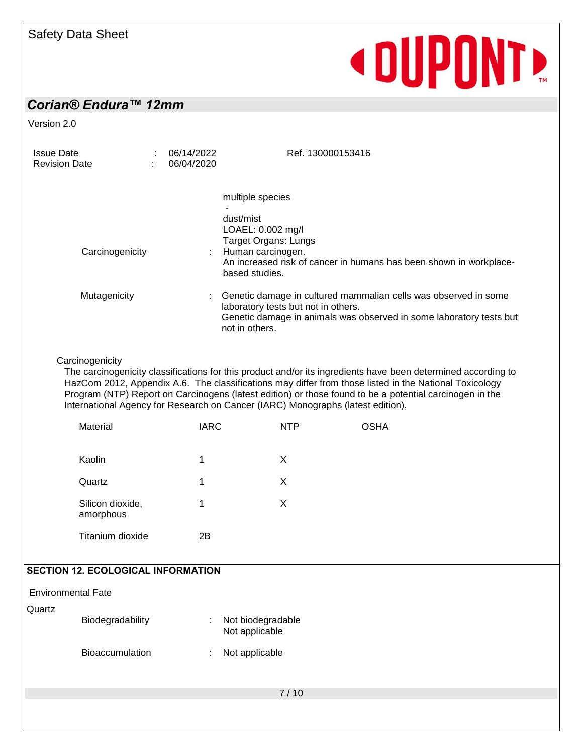# **«DUPONT**

# *Corian® Endura™ 12mm*

Version 2.0

| <b>Issue Date</b><br><b>Revision Date</b>                                                                                                                                                                                                                                                                                                                                                                                                |                                           |  | 06/14/2022<br>06/04/2020 |             |                                                                                                                                                                                                 | Ref. 130000153416                                                  |  |  |
|------------------------------------------------------------------------------------------------------------------------------------------------------------------------------------------------------------------------------------------------------------------------------------------------------------------------------------------------------------------------------------------------------------------------------------------|-------------------------------------------|--|--------------------------|-------------|-------------------------------------------------------------------------------------------------------------------------------------------------------------------------------------------------|--------------------------------------------------------------------|--|--|
|                                                                                                                                                                                                                                                                                                                                                                                                                                          |                                           |  |                          |             | multiple species                                                                                                                                                                                |                                                                    |  |  |
|                                                                                                                                                                                                                                                                                                                                                                                                                                          | Carcinogenicity                           |  |                          |             | dust/mist<br>LOAEL: 0.002 mg/l<br><b>Target Organs: Lungs</b><br>Human carcinogen.<br>based studies.                                                                                            | An increased risk of cancer in humans has been shown in workplace- |  |  |
|                                                                                                                                                                                                                                                                                                                                                                                                                                          | Mutagenicity                              |  |                          |             | Genetic damage in cultured mammalian cells was observed in some<br>laboratory tests but not in others.<br>Genetic damage in animals was observed in some laboratory tests but<br>not in others. |                                                                    |  |  |
| Carcinogenicity<br>The carcinogenicity classifications for this product and/or its ingredients have been determined according to<br>HazCom 2012, Appendix A.6. The classifications may differ from those listed in the National Toxicology<br>Program (NTP) Report on Carcinogens (latest edition) or those found to be a potential carcinogen in the<br>International Agency for Research on Cancer (IARC) Monographs (latest edition). |                                           |  |                          |             |                                                                                                                                                                                                 |                                                                    |  |  |
|                                                                                                                                                                                                                                                                                                                                                                                                                                          | Material                                  |  |                          | <b>IARC</b> | <b>NTP</b>                                                                                                                                                                                      | <b>OSHA</b>                                                        |  |  |
|                                                                                                                                                                                                                                                                                                                                                                                                                                          | Kaolin                                    |  | 1                        |             | X                                                                                                                                                                                               |                                                                    |  |  |
|                                                                                                                                                                                                                                                                                                                                                                                                                                          | Quartz                                    |  | 1                        |             | X                                                                                                                                                                                               |                                                                    |  |  |
|                                                                                                                                                                                                                                                                                                                                                                                                                                          | Silicon dioxide,<br>amorphous             |  | 1                        |             | X                                                                                                                                                                                               |                                                                    |  |  |
|                                                                                                                                                                                                                                                                                                                                                                                                                                          | Titanium dioxide                          |  |                          | 2B          |                                                                                                                                                                                                 |                                                                    |  |  |
|                                                                                                                                                                                                                                                                                                                                                                                                                                          | <b>SECTION 12. ECOLOGICAL INFORMATION</b> |  |                          |             |                                                                                                                                                                                                 |                                                                    |  |  |
| <b>Environmental Fate</b>                                                                                                                                                                                                                                                                                                                                                                                                                |                                           |  |                          |             |                                                                                                                                                                                                 |                                                                    |  |  |
| Quartz                                                                                                                                                                                                                                                                                                                                                                                                                                   | Biodegradability                          |  |                          |             | Not biodegradable<br>Not applicable                                                                                                                                                             |                                                                    |  |  |
|                                                                                                                                                                                                                                                                                                                                                                                                                                          | Bioaccumulation                           |  |                          |             | Not applicable                                                                                                                                                                                  |                                                                    |  |  |
|                                                                                                                                                                                                                                                                                                                                                                                                                                          |                                           |  |                          |             | 7/10                                                                                                                                                                                            |                                                                    |  |  |
|                                                                                                                                                                                                                                                                                                                                                                                                                                          |                                           |  |                          |             |                                                                                                                                                                                                 |                                                                    |  |  |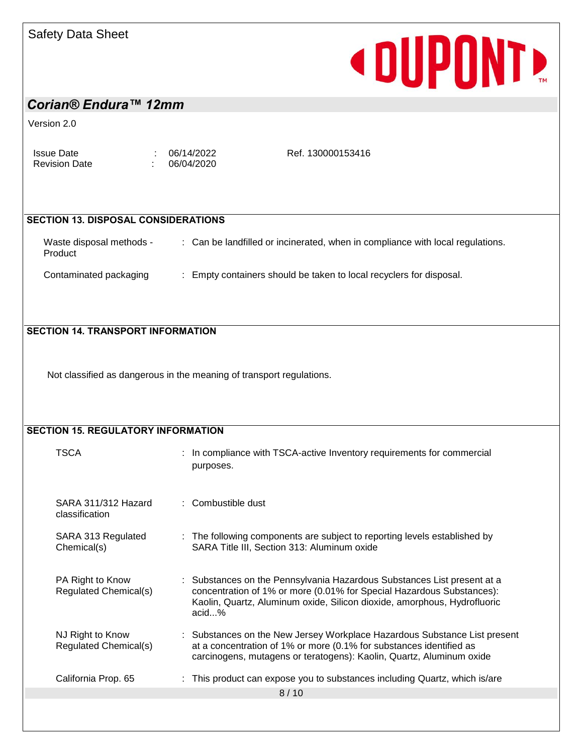# **« DUPONTE**

# *Corian® Endura™ 12mm*

Version 2.0

Issue Date : 06/14/2022<br>Revision Date : 06/04/2020

 $\frac{66}{106}$  06/04/2020

Ref. 130000153416

#### **SECTION 13. DISPOSAL CONSIDERATIONS**

| Waste disposal methods -<br>Product | : Can be landfilled or incinerated, when in compliance with local regulations. |
|-------------------------------------|--------------------------------------------------------------------------------|
| Contaminated packaging              | : Empty containers should be taken to local recyclers for disposal.            |

#### **SECTION 14. TRANSPORT INFORMATION**

Not classified as dangerous in the meaning of transport regulations.

| <b>SECTION 15. REGULATORY INFORMATION</b> |  |                                                                                                                                                                                                                                       |  |  |  |  |
|-------------------------------------------|--|---------------------------------------------------------------------------------------------------------------------------------------------------------------------------------------------------------------------------------------|--|--|--|--|
| <b>TSCA</b>                               |  | : In compliance with TSCA-active Inventory requirements for commercial<br>purposes.                                                                                                                                                   |  |  |  |  |
| SARA 311/312 Hazard<br>classification     |  | : Combustible dust                                                                                                                                                                                                                    |  |  |  |  |
| SARA 313 Regulated<br>Chemical(s)         |  | : The following components are subject to reporting levels established by<br>SARA Title III, Section 313: Aluminum oxide                                                                                                              |  |  |  |  |
| PA Right to Know<br>Regulated Chemical(s) |  | : Substances on the Pennsylvania Hazardous Substances List present at a<br>concentration of 1% or more (0.01% for Special Hazardous Substances):<br>Kaolin, Quartz, Aluminum oxide, Silicon dioxide, amorphous, Hydrofluoric<br>acid% |  |  |  |  |
| NJ Right to Know<br>Regulated Chemical(s) |  | : Substances on the New Jersey Workplace Hazardous Substance List present<br>at a concentration of 1% or more (0.1% for substances identified as<br>carcinogens, mutagens or teratogens): Kaolin, Quartz, Aluminum oxide              |  |  |  |  |
| California Prop. 65                       |  | : This product can expose you to substances including Quartz, which is/are                                                                                                                                                            |  |  |  |  |
|                                           |  | 8/10                                                                                                                                                                                                                                  |  |  |  |  |
|                                           |  |                                                                                                                                                                                                                                       |  |  |  |  |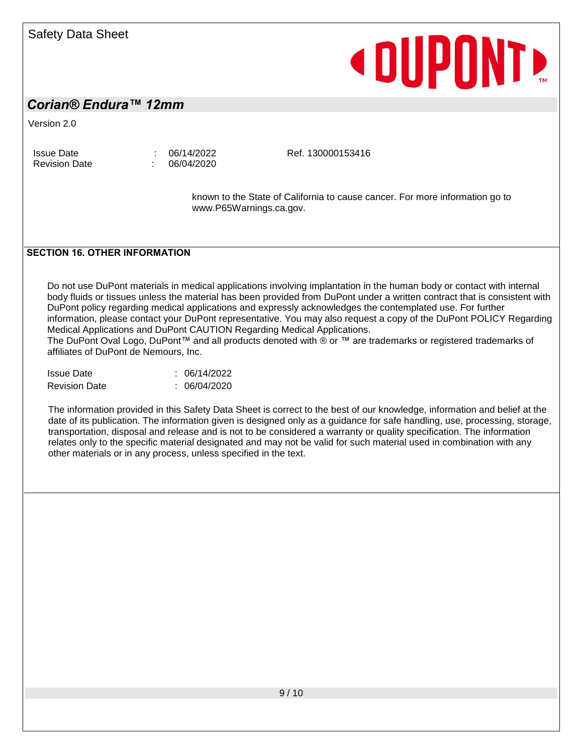# **«DUPONT»**

#### *Corian® Endura™ 12mm*

Version 2.0

Issue Date : 06/14/2022 Revision Date : 06/04/2020

Ref. 130000153416

known to the State of California to cause cancer. For more information go to www.P65Warnings.ca.gov.

#### **SECTION 16. OTHER INFORMATION**

Do not use DuPont materials in medical applications involving implantation in the human body or contact with internal body fluids or tissues unless the material has been provided from DuPont under a written contract that is consistent with DuPont policy regarding medical applications and expressly acknowledges the contemplated use. For further information, please contact your DuPont representative. You may also request a copy of the DuPont POLICY Regarding Medical Applications and DuPont CAUTION Regarding Medical Applications.

The DuPont Oval Logo, DuPont™ and all products denoted with ® or ™ are trademarks or registered trademarks of affiliates of DuPont de Nemours, Inc.

| <b>Issue Date</b>    | : 06/14/2022 |
|----------------------|--------------|
| <b>Revision Date</b> | : 06/04/2020 |

The information provided in this Safety Data Sheet is correct to the best of our knowledge, information and belief at the date of its publication. The information given is designed only as a guidance for safe handling, use, processing, storage, transportation, disposal and release and is not to be considered a warranty or quality specification. The information relates only to the specific material designated and may not be valid for such material used in combination with any other materials or in any process, unless specified in the text.